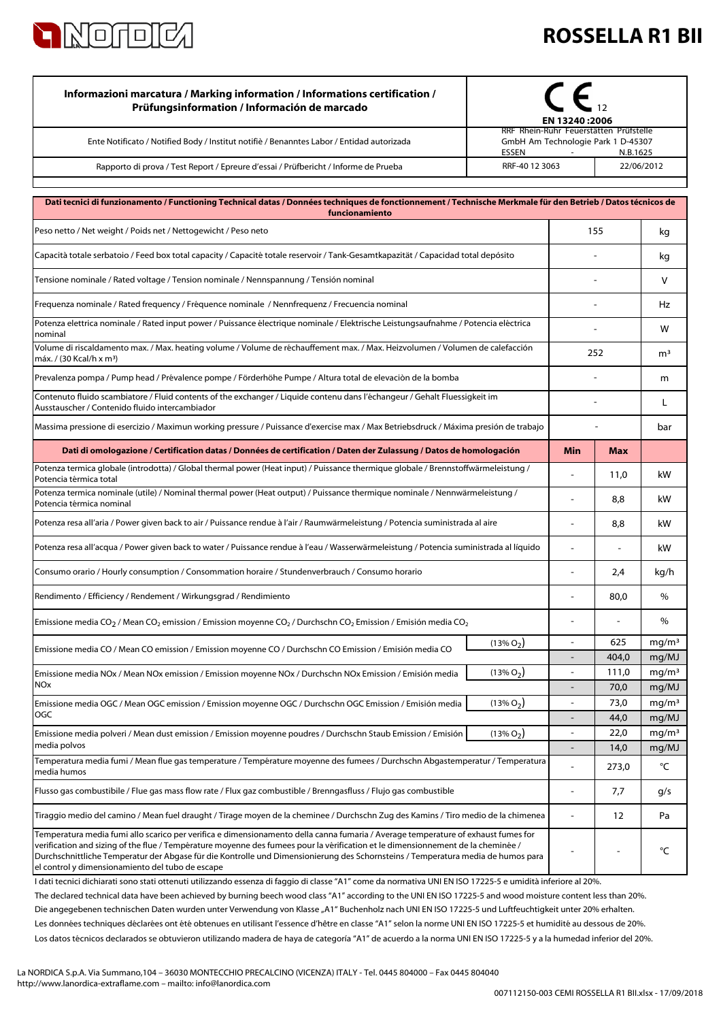

## **ROSSELLA R1 BII**

| Informazioni marcatura / Marking information / Informations certification /<br>Prüfungsinformation / Información de marcado<br>Ente Notificato / Notified Body / Institut notifiè / Benanntes Labor / Entidad autorizada                                                                                                                                                                                                                                      | 2006: EN 13240<br>RRF Rhein-Ruhr Feuerstätten Prüfstelle<br>GmbH Am Technologie Park 1 D-45307 |                          |               |                            |
|---------------------------------------------------------------------------------------------------------------------------------------------------------------------------------------------------------------------------------------------------------------------------------------------------------------------------------------------------------------------------------------------------------------------------------------------------------------|------------------------------------------------------------------------------------------------|--------------------------|---------------|----------------------------|
| Rapporto di prova / Test Report / Epreure d'essai / Prüfbericht / Informe de Prueba                                                                                                                                                                                                                                                                                                                                                                           | ESSEN<br>N.B.1625<br>RRF-40 12 3063                                                            |                          | 22/06/2012    |                            |
|                                                                                                                                                                                                                                                                                                                                                                                                                                                               |                                                                                                |                          |               |                            |
| Dati tecnici di funzionamento / Functioning Technical datas / Données techniques de fonctionnement / Technische Merkmale für den Betrieb / Datos técnicos de                                                                                                                                                                                                                                                                                                  |                                                                                                |                          |               |                            |
| funcionamiento                                                                                                                                                                                                                                                                                                                                                                                                                                                |                                                                                                |                          |               |                            |
| Peso netto / Net weight / Poids net / Nettogewicht / Peso neto                                                                                                                                                                                                                                                                                                                                                                                                |                                                                                                |                          | 155           | kq                         |
| Capacità totale serbatoio / Feed box total capacity / Capacité totale reservoir / Tank-Gesamtkapazität / Capacidad total depósito                                                                                                                                                                                                                                                                                                                             |                                                                                                |                          |               | kg                         |
| Tensione nominale / Rated voltage / Tension nominale / Nennspannung / Tensión nominal                                                                                                                                                                                                                                                                                                                                                                         |                                                                                                |                          |               | V                          |
| Frequenza nominale / Rated frequency / Fréquence nominale / Nennfrequenz / Frecuencia nominal                                                                                                                                                                                                                                                                                                                                                                 |                                                                                                |                          |               | Hz                         |
| Potenza elettrica nominale / Rated input power / Puissance électrique nominale / Elektrische Leistungsaufnahme / Potencia eléctrica<br>nominal                                                                                                                                                                                                                                                                                                                |                                                                                                | ÷                        |               | W                          |
| Volume di riscaldamento max. / Max. heating volume / Volume de réchauffement max. / Max. Heizvolumen / Volumen de calefacción<br>máx. / (30 Kcal/h x m <sup>3</sup> )                                                                                                                                                                                                                                                                                         |                                                                                                | 252                      |               | m <sup>3</sup>             |
| Prevalenza pompa / Pump head / Prévalence pompe / Förderhöhe Pumpe / Altura total de elevaciòn de la bomba                                                                                                                                                                                                                                                                                                                                                    |                                                                                                |                          |               | m                          |
| Contenuto fluido scambiatore / Fluid contents of the exchanger / Liquide contenu dans l'échangeur / Gehalt Fluessigkeit im<br>Ausstauscher / Contenido fluido intercambiador                                                                                                                                                                                                                                                                                  |                                                                                                |                          |               | L                          |
| Massima pressione di esercizio / Maximun working pressure / Puissance d'exercise max / Max Betriebsdruck / Máxima presión de trabajo                                                                                                                                                                                                                                                                                                                          |                                                                                                |                          |               | bar                        |
| Dati di omologazione / Certification datas / Données de certification / Daten der Zulassung / Datos de homologación                                                                                                                                                                                                                                                                                                                                           |                                                                                                | <b>Min</b>               | Max           |                            |
| Potenza termica globale (introdotta) / Global thermal power (Heat input) / Puissance thermique globale / Brennstoffwärmeleistung /<br>Potencia térmica total                                                                                                                                                                                                                                                                                                  |                                                                                                |                          | 11,0          | kW                         |
| Potenza termica nominale (utile) / Nominal thermal power (Heat output) / Puissance thermique nominale / Nennwärmeleistung /<br>Potencia térmica nominal                                                                                                                                                                                                                                                                                                       |                                                                                                |                          | 8,8           | kW                         |
| Potenza resa all'aria / Power given back to air / Puissance rendue à l'air / Raumwärmeleistung / Potencia suministrada al aire                                                                                                                                                                                                                                                                                                                                |                                                                                                |                          | 8,8           | kW                         |
| Potenza resa all'acqua / Power given back to water / Puissance rendue à l'eau / Wasserwärmeleistung / Potencia suministrada al líquido                                                                                                                                                                                                                                                                                                                        |                                                                                                |                          | ÷,            | kW                         |
| Consumo orario / Hourly consumption / Consommation horaire / Stundenverbrauch / Consumo horario                                                                                                                                                                                                                                                                                                                                                               |                                                                                                |                          | 2,4           | kg/h                       |
| Rendimento / Efficiency / Rendement / Wirkungsgrad / Rendimiento                                                                                                                                                                                                                                                                                                                                                                                              |                                                                                                |                          | 80,0          | $\%$                       |
| Emissione media CO <sub>2</sub> / Mean CO <sub>2</sub> emission / Emission moyenne CO <sub>2</sub> / Durchschn CO <sub>2</sub> Emission / Emisión media CO <sub>2</sub>                                                                                                                                                                                                                                                                                       |                                                                                                | $\blacksquare$           | ä,            | %                          |
| Emissione media CO / Mean CO emission / Emission moyenne CO / Durchschn CO Emission / Emisión media CO                                                                                                                                                                                                                                                                                                                                                        | $(13\% O2)$                                                                                    | $\overline{\phantom{a}}$ | 625           | mg/m <sup>3</sup>          |
|                                                                                                                                                                                                                                                                                                                                                                                                                                                               |                                                                                                |                          | 404,0         | mg/MJ                      |
| Emissione media NOx / Mean NOx emission / Emission moyenne NOx / Durchschn NOx Emission / Emisión media<br><b>NOx</b>                                                                                                                                                                                                                                                                                                                                         | $(13\% O2)$                                                                                    | $\overline{\phantom{a}}$ | 111,0<br>70,0 | mg/m <sup>3</sup>          |
|                                                                                                                                                                                                                                                                                                                                                                                                                                                               | $(13\% O2)$                                                                                    | $\blacksquare$           | 73,0          | mg/MJ<br>mg/m <sup>3</sup> |
| Emissione media OGC / Mean OGC emission / Emission moyenne OGC / Durchschn OGC Emission / Emisión media<br>OGC                                                                                                                                                                                                                                                                                                                                                |                                                                                                |                          | 44,0          | mg/MJ                      |
| Emissione media polveri / Mean dust emission / Emission moyenne poudres / Durchschn Staub Emission / Emisión                                                                                                                                                                                                                                                                                                                                                  | $(13\% O2)$                                                                                    | $\blacksquare$           | 22,0          | mg/m <sup>3</sup>          |
| media polvos                                                                                                                                                                                                                                                                                                                                                                                                                                                  |                                                                                                |                          | 14,0          | mg/MJ                      |
| Temperatura media fumi / Mean flue gas temperature / Température moyenne des fumees / Durchschn Abgastemperatur / Temperatura<br>media humos                                                                                                                                                                                                                                                                                                                  |                                                                                                | $\blacksquare$           | 273,0         | °C                         |
| Flusso gas combustibile / Flue gas mass flow rate / Flux gaz combustible / Brenngasfluss / Flujo gas combustible                                                                                                                                                                                                                                                                                                                                              |                                                                                                |                          | 7,7           | g/s                        |
| Tiraggio medio del camino / Mean fuel draught / Tirage moyen de la cheminee / Durchschn Zug des Kamins / Tiro medio de la chimenea                                                                                                                                                                                                                                                                                                                            |                                                                                                | $\overline{a}$           | 12            | Pa                         |
| Temperatura media fumi allo scarico per verifica e dimensionamento della canna fumaria / Average temperature of exhaust fumes for<br>verification and sizing of the flue / Température moyenne des fumees pour la vérification et le dimensionnement de la cheminée /<br>Durchschnittliche Temperatur der Abgase für die Kontrolle und Dimensionierung des Schornsteins / Temperatura media de humos para<br>el control y dimensionamiento del tubo de escape |                                                                                                |                          |               | °C                         |

Los datos técnicos declarados se obtuvieron utilizando madera de haya de categoría "A1" de acuerdo a la norma UNI EN ISO 17225-5 y a la humedad inferior del 20%. Les données techniques déclarées ont été obtenues en utilisant l'essence d'hêtre en classe "A1" selon la norme UNI EN ISO 17225-5 et humidité au dessous de 20%. I dati tecnici dichiarati sono stati ottenuti utilizzando essenza di faggio di classe "A1" come da normativa UNI EN ISO 17225-5 e umidità inferiore al 20%. Die angegebenen technischen Daten wurden unter Verwendung von Klasse "A1" Buchenholz nach UNI EN ISO 17225-5 und Luftfeuchtigkeit unter 20% erhalten. The declared technical data have been achieved by burning beech wood class "A1" according to the UNI EN ISO 17225-5 and wood moisture content less than 20%.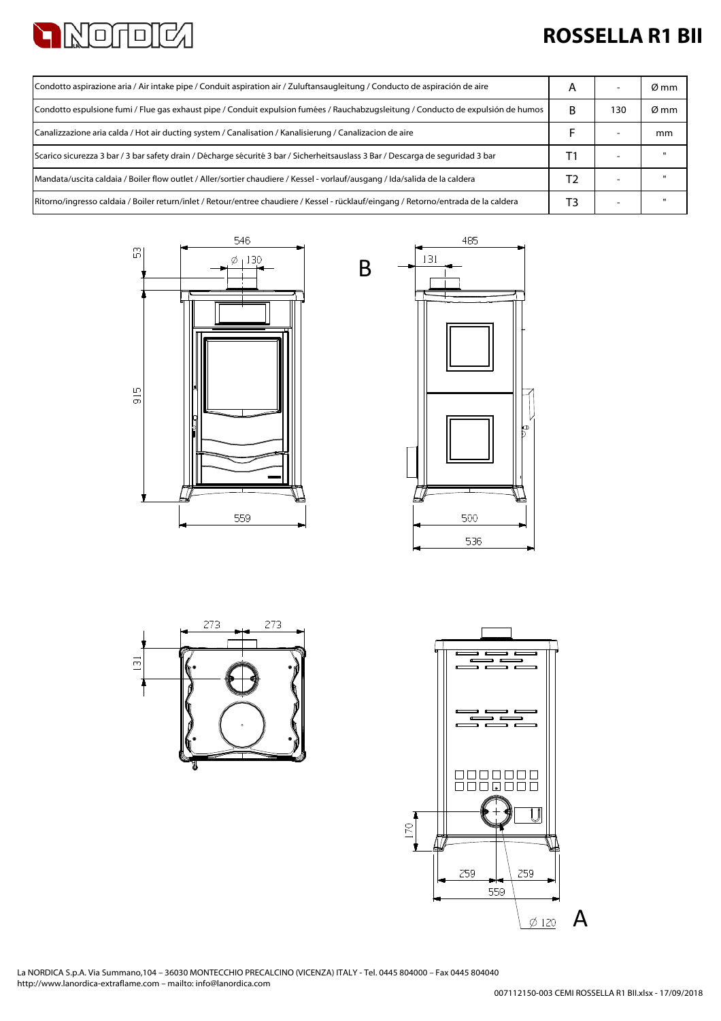

## **ROSSELLA R1 BII**

| Condotto aspirazione aria / Air intake pipe / Conduit aspiration air / Zuluftansaugleitung / Conducto de aspiración de aire          | A  |     | Ø mm |
|--------------------------------------------------------------------------------------------------------------------------------------|----|-----|------|
| Condotto espulsione fumi / Flue gas exhaust pipe / Conduit expulsion fumées / Rauchabzugsleitung / Conducto de expulsión de humos    | в  | 130 | Ø mm |
| Canalizzazione aria calda / Hot air ducting system / Canalisation / Kanalisierung / Canalizacion de aire                             |    |     | mm   |
| Scarico sicurezza 3 bar / 3 bar safety drain / Décharge sécurité 3 bar / Sicherheitsauslass 3 Bar / Descarga de seguridad 3 bar      |    |     |      |
| Mandata/uscita caldaia / Boiler flow outlet / Aller/sortier chaudiere / Kessel - vorlauf/ausgang / Ida/salida de la caldera          | 12 |     |      |
| Ritorno/ingresso caldaia / Boiler return/inlet / Retour/entree chaudiere / Kessel - rücklauf/eingang / Retorno/entrada de la caldera | ГЗ |     |      |

B







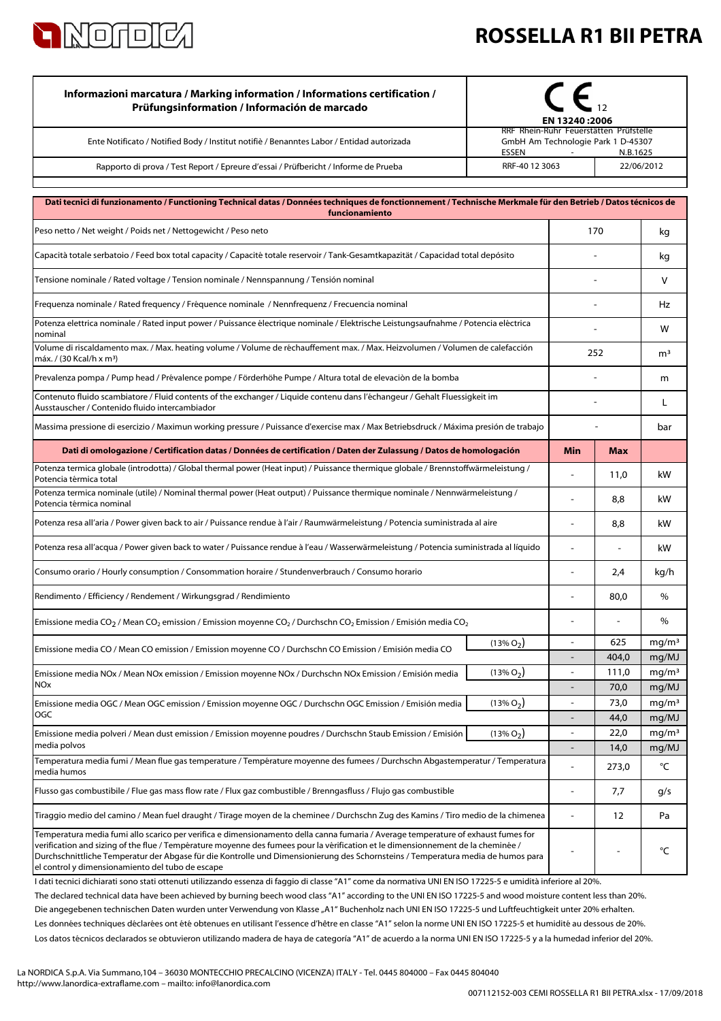

## **ROSSELLA R1 BII PETRA**

| Informazioni marcatura / Marking information / Informations certification /<br>Prüfungsinformation / Información de marcado                                                                                                                                                                                                                                                                                                                                   |                                                         | EN 13240:2006<br>RRF Rhein-Ruhr Feuerstätten Prüfstelle |                              |                            |
|---------------------------------------------------------------------------------------------------------------------------------------------------------------------------------------------------------------------------------------------------------------------------------------------------------------------------------------------------------------------------------------------------------------------------------------------------------------|---------------------------------------------------------|---------------------------------------------------------|------------------------------|----------------------------|
| Ente Notificato / Notified Body / Institut notifiè / Benanntes Labor / Entidad autorizada                                                                                                                                                                                                                                                                                                                                                                     | GmbH Am Technologie Park 1 D-45307<br>ESSEN<br>N.B.1625 |                                                         |                              |                            |
| Rapporto di prova / Test Report / Epreure d'essai / Prüfbericht / Informe de Prueba                                                                                                                                                                                                                                                                                                                                                                           | RRF-40 12 3063<br>22/06/2012                            |                                                         |                              |                            |
| Dati tecnici di funzionamento / Functioning Technical datas / Données techniques de fonctionnement / Technische Merkmale für den Betrieb / Datos técnicos de<br>funcionamiento                                                                                                                                                                                                                                                                                |                                                         |                                                         |                              |                            |
| Peso netto / Net weight / Poids net / Nettogewicht / Peso neto                                                                                                                                                                                                                                                                                                                                                                                                |                                                         | 170                                                     |                              | kg                         |
| Capacità totale serbatoio / Feed box total capacity / Capacité totale reservoir / Tank-Gesamtkapazität / Capacidad total depósito                                                                                                                                                                                                                                                                                                                             |                                                         |                                                         |                              | kg                         |
| Tensione nominale / Rated voltage / Tension nominale / Nennspannung / Tensión nominal                                                                                                                                                                                                                                                                                                                                                                         |                                                         |                                                         |                              | v                          |
| Frequenza nominale / Rated frequency / Fréquence nominale / Nennfrequenz / Frecuencia nominal                                                                                                                                                                                                                                                                                                                                                                 |                                                         |                                                         |                              | Hz                         |
| Potenza elettrica nominale / Rated input power / Puissance électrique nominale / Elektrische Leistungsaufnahme / Potencia eléctrica<br>nominal                                                                                                                                                                                                                                                                                                                |                                                         |                                                         |                              | w                          |
| Volume di riscaldamento max. / Max. heating volume / Volume de réchauffement max. / Max. Heizvolumen / Volumen de calefacción<br>máx. / (30 Kcal/h x m <sup>3</sup> )                                                                                                                                                                                                                                                                                         |                                                         | 252                                                     |                              | m <sup>3</sup>             |
| Prevalenza pompa / Pump head / Prévalence pompe / Förderhöhe Pumpe / Altura total de elevaciòn de la bomba                                                                                                                                                                                                                                                                                                                                                    |                                                         |                                                         |                              | m                          |
| Contenuto fluido scambiatore / Fluid contents of the exchanger / Liquide contenu dans l'échangeur / Gehalt Fluessigkeit im<br>Ausstauscher / Contenido fluido intercambiador                                                                                                                                                                                                                                                                                  |                                                         |                                                         |                              | L                          |
| Massima pressione di esercizio / Maximun working pressure / Puissance d'exercise max / Max Betriebsdruck / Máxima presión de trabajo                                                                                                                                                                                                                                                                                                                          |                                                         |                                                         |                              | bar                        |
| Dati di omologazione / Certification datas / Données de certification / Daten der Zulassung / Datos de homologación                                                                                                                                                                                                                                                                                                                                           |                                                         | <b>Min</b>                                              | <b>Max</b>                   |                            |
| Potenza termica globale (introdotta) / Global thermal power (Heat input) / Puissance thermique globale / Brennstoffwärmeleistung /<br>Potencia térmica total                                                                                                                                                                                                                                                                                                  |                                                         | ä,                                                      | 11,0                         | kW                         |
| Potenza termica nominale (utile) / Nominal thermal power (Heat output) / Puissance thermique nominale / Nennwärmeleistung /<br>Potencia térmica nominal                                                                                                                                                                                                                                                                                                       |                                                         |                                                         | 8,8                          | kW                         |
| Potenza resa all'aria / Power given back to air / Puissance rendue à l'air / Raumwärmeleistung / Potencia suministrada al aire                                                                                                                                                                                                                                                                                                                                |                                                         |                                                         | 8,8                          | kW                         |
| Potenza resa all'acqua / Power given back to water / Puissance rendue à l'eau / Wasserwärmeleistung / Potencia suministrada al líquido                                                                                                                                                                                                                                                                                                                        |                                                         | ÷,                                                      | $\blacksquare$               | kW                         |
| Consumo orario / Hourly consumption / Consommation horaire / Stundenverbrauch / Consumo horario                                                                                                                                                                                                                                                                                                                                                               |                                                         |                                                         | 2,4                          | kg/h                       |
| Rendimento / Efficiency / Rendement / Wirkungsgrad / Rendimiento                                                                                                                                                                                                                                                                                                                                                                                              |                                                         |                                                         | 80,0                         | $\%$                       |
| Emissione media CO <sub>2</sub> / Mean CO <sub>2</sub> emission / Emission moyenne CO <sub>2</sub> / Durchschn CO <sub>2</sub> Emission / Emisión media CO <sub>2</sub>                                                                                                                                                                                                                                                                                       |                                                         |                                                         |                              | %                          |
| Emissione media CO / Mean CO emission / Emission moyenne CO / Durchschn CO Emission / Emisión media CO                                                                                                                                                                                                                                                                                                                                                        | $(13\% O2)$                                             | $\overline{\phantom{a}}$<br>$\overline{a}$              | 625                          | mg/m <sup>3</sup>          |
| Emissione media NOx / Mean NOx emission / Emission moyenne NOx / Durchschn NOx Emission / Emisión media                                                                                                                                                                                                                                                                                                                                                       | $(13\% O2)$                                             | $\overline{\phantom{a}}$                                | 404,0<br>111,0               | mg/MJ<br>mg/m <sup>3</sup> |
| <b>NOx</b>                                                                                                                                                                                                                                                                                                                                                                                                                                                    |                                                         | $\overline{\phantom{0}}$                                | 70,0                         | mg/MJ                      |
| Emissione media OGC / Mean OGC emission / Emission moyenne OGC / Durchschn OGC Emission / Emisión media                                                                                                                                                                                                                                                                                                                                                       | $(13\% O_2)$                                            | $\blacksquare$                                          | 73,0                         | mg/m <sup>3</sup>          |
| OGC                                                                                                                                                                                                                                                                                                                                                                                                                                                           |                                                         |                                                         | 44,0                         | mg/MJ                      |
| Emissione media polveri / Mean dust emission / Emission moyenne poudres / Durchschn Staub Emission / Emisión<br>media polvos                                                                                                                                                                                                                                                                                                                                  | $(13\% O_2)$                                            | Ē,                                                      | 22,0<br>14,0                 | mq/m <sup>3</sup>          |
| Temperatura media fumi / Mean flue gas temperature / Température moyenne des fumees / Durchschn Abgastemperatur / Temperatura<br>media humos                                                                                                                                                                                                                                                                                                                  |                                                         | Ĭ.                                                      | 273,0                        | mg/MJ<br>°C                |
| Flusso gas combustibile / Flue gas mass flow rate / Flux gaz combustible / Brenngasfluss / Flujo gas combustible                                                                                                                                                                                                                                                                                                                                              |                                                         |                                                         | 7,7                          | g/s                        |
| Tiraggio medio del camino / Mean fuel draught / Tirage moyen de la cheminee / Durchschn Zug des Kamins / Tiro medio de la chimenea                                                                                                                                                                                                                                                                                                                            |                                                         | Ē,                                                      | 12                           | Pa                         |
| Temperatura media fumi allo scarico per verifica e dimensionamento della canna fumaria / Average temperature of exhaust fumes for<br>verification and sizing of the flue / Température moyenne des fumees pour la vérification et le dimensionnement de la cheminée /<br>Durchschnittliche Temperatur der Abgase für die Kontrolle und Dimensionierung des Schornsteins / Temperatura media de humos para<br>el control y dimensionamiento del tubo de escape |                                                         | ۰                                                       | $\qquad \qquad \blacksquare$ | °C                         |

Los datos técnicos declarados se obtuvieron utilizando madera de haya de categoría "A1" de acuerdo a la norma UNI EN ISO 17225-5 y a la humedad inferior del 20%. Les données techniques déclarées ont été obtenues en utilisant l'essence d'hêtre en classe "A1" selon la norme UNI EN ISO 17225-5 et humidité au dessous de 20%. I dati tecnici dichiarati sono stati ottenuti utilizzando essenza di faggio di classe "A1" come da normativa UNI EN ISO 17225-5 e umidità inferiore al 20%. Die angegebenen technischen Daten wurden unter Verwendung von Klasse "A1" Buchenholz nach UNI EN ISO 17225-5 und Luftfeuchtigkeit unter 20% erhalten. The declared technical data have been achieved by burning beech wood class "A1" according to the UNI EN ISO 17225-5 and wood moisture content less than 20%.